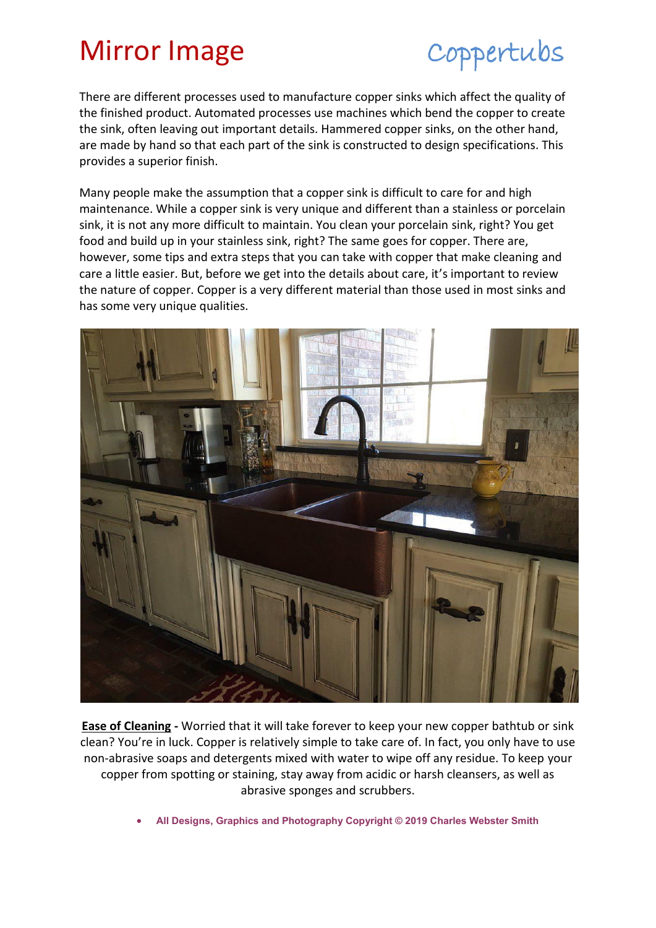## Mirror Image Coppertubs

There are different processes used to manufacture copper sinks which affect the quality of the finished product. Automated processes use machines which bend the copper to create the sink, often leaving out important details. Hammered copper sinks, on the other hand, are made by hand so that each part of the sink is constructed to design specifications. This provides a superior finish.

Many people make the assumption that a copper sink is difficult to care for and high maintenance. While a copper sink is very unique and different than a stainless or porcelain sink, it is not any more difficult to maintain. You clean your porcelain sink, right? You get food and build up in your stainless sink, right? The same goes for copper. There are, however, some tips and extra steps that you can take with copper that make cleaning and care a little easier. But, before we get into the details about care, it's important to review the nature of copper. Copper is a very different material than those used in most sinks and has some very unique qualities.



**[Ease of Cleaning](https://www.worldcoppersmith.com/store/frequently-asked-questions/sink-care-tips) -** Worried that it will take forever to keep your new copper bathtub or sink clean? You're in luck. Copper is relatively simple to take care of. In fact, you only have to use non-abrasive soaps and detergents mixed with water to wipe off any residue. To keep your copper from spotting or staining, stay away from acidic or harsh cleansers, as well as abrasive sponges and scrubbers.

**All Designs, Graphics and Photography Copyright © 2019 Charles Webster Smith**